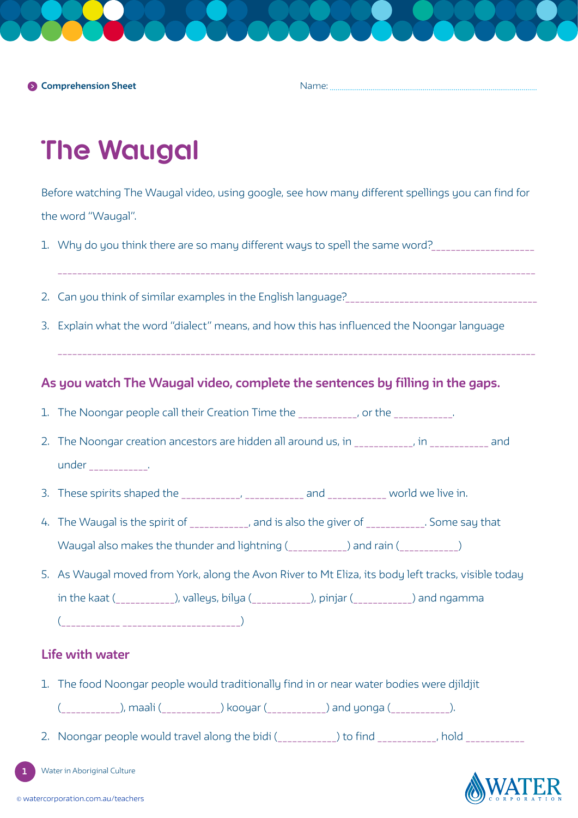**Comprehension Sheet**

Name:

# **The Waugal**

Before watching The Waugal video, using google, see how many different spellings you can find for the word "Waugal".

- 1. Why do you think there are so many different ways to spell the same word?\_\_\_\_\_\_\_\_\_\_\_\_\_\_\_\_\_\_\_\_\_\_\_\_
- 
- 2. Can you think of similar examples in the English language?\_\_\_\_\_\_\_\_\_\_\_\_\_\_\_\_\_\_\_\_\_\_\_\_\_\_\_\_\_\_\_\_\_\_\_\_\_\_\_
- 3. Explain what the word "dialect" means, and how this has influenced the Noongar language

## **As you watch The Waugal video, complete the sentences by filling in the gaps.**

- 1. The Noongar people call their Creation Time the \_\_\_\_\_\_\_\_\_\_, or the \_\_\_\_\_\_\_\_\_\_.
- 2. The Noongar creation ancestors are hidden all around us, in The Noongar creation and under \_\_\_\_\_\_\_\_\_.
- 3. These spirits shaped the \_\_\_\_\_\_\_\_\_\_\_\_, \_\_\_\_\_\_\_\_\_\_\_\_ and \_\_\_\_\_\_\_\_\_\_\_ world we live in.
- 4. The Waugal is the spirit of  $\qquad \qquad$ , and is also the giver of  $\qquad \qquad$ . Some say that Waugal also makes the thunder and lightning (example 1) and rain (example 2)
- 5. As Waugal moved from York, along the Avon River to Mt Eliza, its body left tracks, visible today in the kaat (\_\_\_\_\_\_\_\_\_\_\_\_), valleys, bilya (\_\_\_\_\_\_\_\_\_\_\_\_), pinjar (\_\_\_\_\_\_\_\_\_\_\_\_) and ngamma (\_\_\_\_\_\_\_\_\_\_\_\_ \_\_\_\_\_\_\_\_\_\_\_\_\_\_\_\_\_\_\_\_\_\_\_\_)

## **Life with water**

1. The food Noongar people would traditionally find in or near water bodies were djildjit

(\_\_\_\_\_\_\_\_\_\_\_\_), maali (\_\_\_\_\_\_\_\_\_\_\_\_) kooyar (\_\_\_\_\_\_\_\_\_\_\_\_) and yonga (\_\_\_\_\_\_\_\_\_\_\_\_).

2. Noongar people would travel along the bidi (\_\_\_\_\_\_\_\_\_\_\_) to find \_\_\_\_\_\_\_\_\_\_, hold \_\_\_\_\_\_\_\_\_\_\_\_\_

Water in Aboriginal Culture



**1**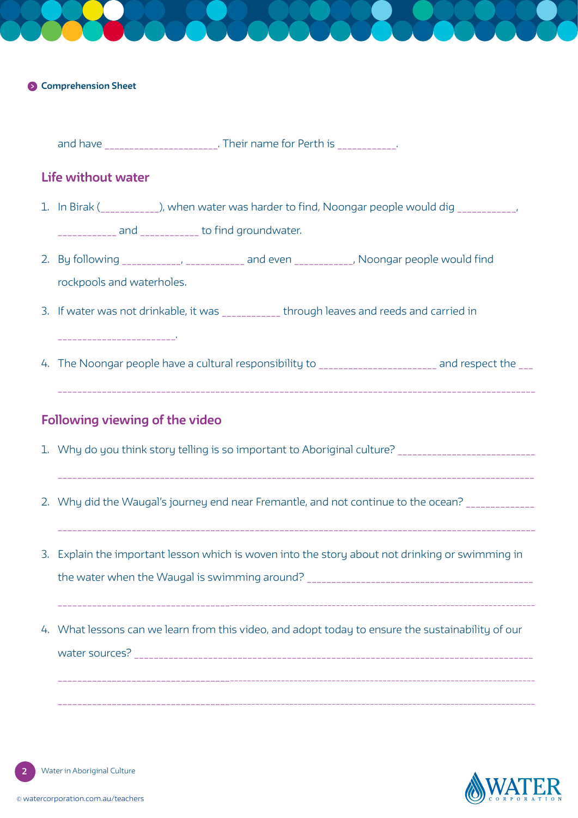#### **Comprehension Sheet**

and have \_\_\_\_\_\_\_\_\_\_\_\_\_\_\_\_\_\_\_\_\_. Their name for Perth is \_\_\_\_\_\_\_\_\_\_\_\_.

### **Life without water**

- 1. In Birak (example 1), when water was harder to find, Noongar people would dig  $\blacksquare$ and and to find groundwater.
- 2. By following \_\_\_\_\_\_\_\_\_\_\_, \_\_\_\_\_\_\_\_\_\_\_ and even \_\_\_\_\_\_\_\_\_\_\_, Noongar people would find rockpools and waterholes.
- 3. If water was not drinkable, it was through leaves and reeds and carried in \_\_\_\_\_\_\_\_\_\_\_\_\_\_\_\_\_\_\_\_\_\_\_\_.
- 4. The Noongar people have a cultural responsibility to \_\_\_\_\_\_\_\_\_\_\_\_\_\_\_\_\_\_\_\_\_\_\_\_\_ and respect the \_\_\_

### **Following viewing of the video**

- 1. Why do you think story telling is so important to Aboriginal culture? \_\_\_\_\_\_\_\_\_\_\_\_\_\_\_\_\_\_\_\_\_\_\_\_\_\_\_\_
- 2. Why did the Waugal's journey end near Fremantle, and not continue to the ocean? \_\_\_\_\_\_\_\_\_\_\_\_\_\_\_\_
- 3. Explain the important lesson which is woven into the story about not drinking or swimming in the water when the Waugal is swimming around? \_\_\_\_\_\_\_\_\_\_\_\_\_\_\_\_\_\_\_\_\_\_\_\_\_\_\_\_\_\_\_\_\_\_\_\_\_\_\_\_\_\_\_\_\_\_

\_\_\_\_\_\_\_\_\_\_\_\_\_\_\_\_\_\_\_\_\_\_\_\_\_\_\_\_\_\_\_\_\_\_\_\_\_\_\_\_\_\_\_\_\_\_\_\_\_\_\_\_\_\_\_\_\_\_\_\_\_\_\_\_\_\_\_\_\_\_\_\_\_\_\_\_\_\_\_\_\_\_\_\_\_\_\_\_\_\_\_\_\_\_\_\_\_\_\_\_\_\_\_\_\_\_\_

 $\mathcal{L}_\mathcal{L} = \mathcal{L}_\mathcal{L} = \mathcal{L}_\mathcal{L} = \mathcal{L}_\mathcal{L} = \mathcal{L}_\mathcal{L} = \mathcal{L}_\mathcal{L} = \mathcal{L}_\mathcal{L} = \mathcal{L}_\mathcal{L} = \mathcal{L}_\mathcal{L} = \mathcal{L}_\mathcal{L} = \mathcal{L}_\mathcal{L} = \mathcal{L}_\mathcal{L} = \mathcal{L}_\mathcal{L} = \mathcal{L}_\mathcal{L} = \mathcal{L}_\mathcal{L} = \mathcal{L}_\mathcal{L} = \mathcal{L}_\mathcal{L}$ 

4. What lessons can we learn from this video, and adopt today to ensure the sustainability of our water sources? \_\_\_\_\_\_\_\_\_\_\_\_\_\_\_\_\_\_\_\_\_\_\_\_\_\_\_\_\_\_\_\_\_\_\_\_\_\_\_\_\_\_\_\_\_\_\_\_\_\_\_\_\_\_\_\_\_\_\_\_\_\_\_\_\_\_\_\_\_\_\_\_\_\_\_\_\_\_\_\_\_

\_\_\_\_\_\_\_\_\_\_\_\_\_\_\_\_\_\_\_\_\_\_\_\_\_\_\_\_\_\_\_\_\_\_\_\_\_\_\_\_\_\_\_\_\_\_\_\_\_\_\_\_\_\_\_\_\_\_\_\_\_\_\_\_\_\_\_\_\_\_\_\_\_\_\_\_\_\_\_\_\_\_\_\_\_\_\_\_\_\_\_\_\_\_\_\_\_\_\_\_\_\_\_\_\_\_\_